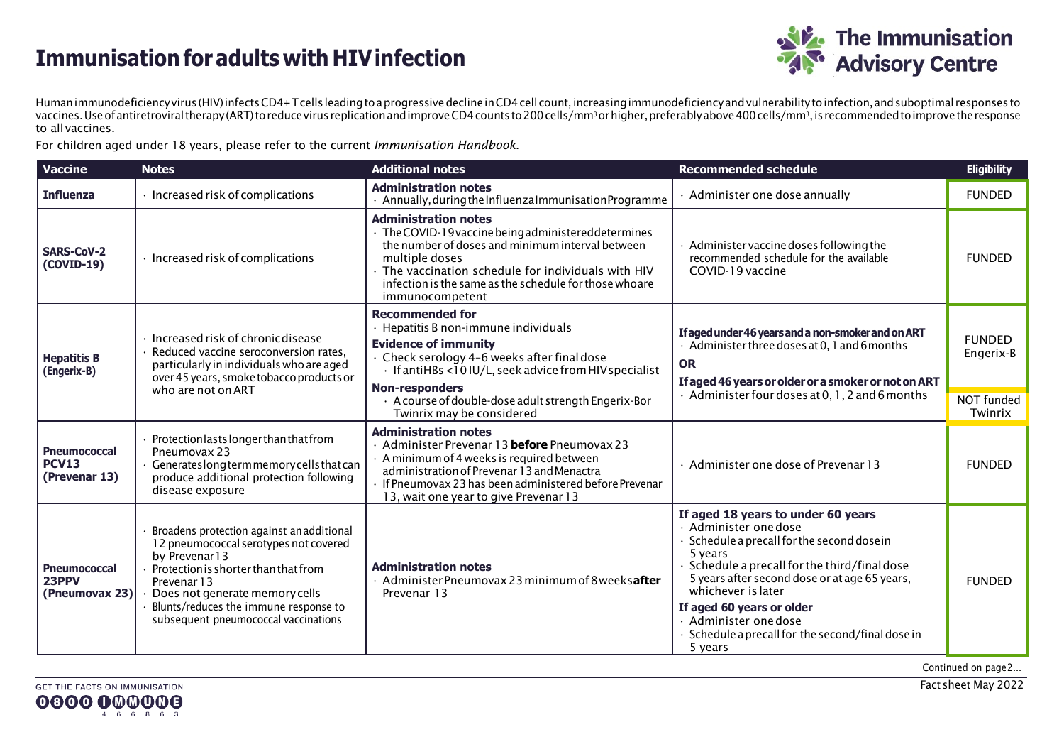## **Immunisation for adults with HIVinfection**



Humanimmunodeficiencyvirus (HIV)infectsCD4+Tcells leadingtoaprogressivedeclineinCD4cell count,increasingimmunodeficiencyandvulnerabilitytoinfection,andsuboptimal responses to vaccines. Use of antiretroviral therapy (ART) to reduce virus replication and improve CD4 counts to 200 cells/mm3 or higher, preferably above 400 cells/mm3, is recommended to improve the response to all vaccines.

For children aged under 18 years, please refer to the current *Immunisation Handbook*.

| <b>Vaccine</b>                                       | <b>Notes</b>                                                                                                                                                                                                                                                                  | <b>Additional notes</b>                                                                                                                                                                                                                                                                     | <b>Recommended schedule</b>                                                                                                                                                                                                                                                                                                                                             | <b>Eligibility</b>                       |
|------------------------------------------------------|-------------------------------------------------------------------------------------------------------------------------------------------------------------------------------------------------------------------------------------------------------------------------------|---------------------------------------------------------------------------------------------------------------------------------------------------------------------------------------------------------------------------------------------------------------------------------------------|-------------------------------------------------------------------------------------------------------------------------------------------------------------------------------------------------------------------------------------------------------------------------------------------------------------------------------------------------------------------------|------------------------------------------|
| <b>Influenza</b>                                     | · Increased risk of complications                                                                                                                                                                                                                                             | <b>Administration notes</b><br>Annually, during the Influenza Immunisation Programme                                                                                                                                                                                                        | · Administer one dose annually                                                                                                                                                                                                                                                                                                                                          | <b>FUNDED</b>                            |
| <b>SARS-CoV-2</b><br>(COVID-19)                      | · Increased risk of complications                                                                                                                                                                                                                                             | <b>Administration notes</b><br>· The COVID-19 vaccine being administered determines<br>the number of doses and minimum interval between<br>multiple doses<br>The vaccination schedule for individuals with HIV<br>infection is the same as the schedule for those whoare<br>immunocompetent | $\cdot$ Administer vaccine doses following the<br>recommended schedule for the available<br>COVID-19 vaccine                                                                                                                                                                                                                                                            | <b>FUNDED</b>                            |
| <b>Hepatitis B</b><br>(Engerix-B)                    | Increased risk of chronic disease<br>Reduced vaccine seroconversion rates.<br>particularly in individuals who are aged<br>over 45 years, smoke tobacco products or<br>who are not on ART                                                                                      | <b>Recommended for</b><br>· Hepatitis B non-immune individuals<br><b>Evidence of immunity</b><br>Check serology 4-6 weeks after final dose<br>· If antiHBs <10 IU/L, seek advice from HIV specialist<br><b>Non-responders</b>                                                               | If aged under 46 years and a non-smoker and on ART<br>$\cdot$ Administer three doses at 0, 1 and 6 months<br><b>OR</b><br>If aged 46 years or older or a smoker or not on ART<br>· Administer four doses at 0, 1, 2 and 6 months                                                                                                                                        | <b>FUNDED</b><br>Engerix-B<br>NOT funded |
|                                                      |                                                                                                                                                                                                                                                                               | · A course of double-dose adult strength Engerix-Bor<br>Twinrix may be considered                                                                                                                                                                                                           |                                                                                                                                                                                                                                                                                                                                                                         | Twinrix                                  |
| <b>Pneumococcal</b><br><b>PCV13</b><br>(Prevenar 13) | Protectionlasts longer than that from<br>Pneumovax 23<br>Generateslongtermmemorycellsthatcan<br>produce additional protection following<br>disease exposure                                                                                                                   | <b>Administration notes</b><br>· Administer Prevenar 13 before Pneumovax 23<br>$\cdot$ A minimum of 4 weeks is required between<br>administration of Prevenar 13 and Menactra<br>If Pneumovax 23 has been administered before Prevenar<br>13, wait one year to give Prevenar 13             | · Administer one dose of Prevenar 13                                                                                                                                                                                                                                                                                                                                    | <b>FUNDED</b>                            |
| <b>Pneumococcal</b><br>23PPV<br>(Pneumovax 23)       | Broadens protection against an additional<br>12 pneumococcal serotypes not covered<br>by Prevenar13<br>Protection is shorter than that from<br>Prevenar 13<br>Does not generate memory cells<br>Blunts/reduces the immune response to<br>subsequent pneumococcal vaccinations | <b>Administration notes</b><br>· Administer Pneumovax 23 minimum of 8 weeksafter<br>Prevenar 13                                                                                                                                                                                             | If aged 18 years to under 60 years<br>· Administer one dose<br>$\cdot$ Schedule a precall for the second dose in<br>5 years<br>Schedule a precall for the third/final dose<br>5 years after second dose or at age 65 years,<br>whichever is later<br>If aged 60 years or older<br>· Administer one dose<br>· Schedule a precall for the second/final dose in<br>5 years | <b>FUNDED</b>                            |

Continued on page2...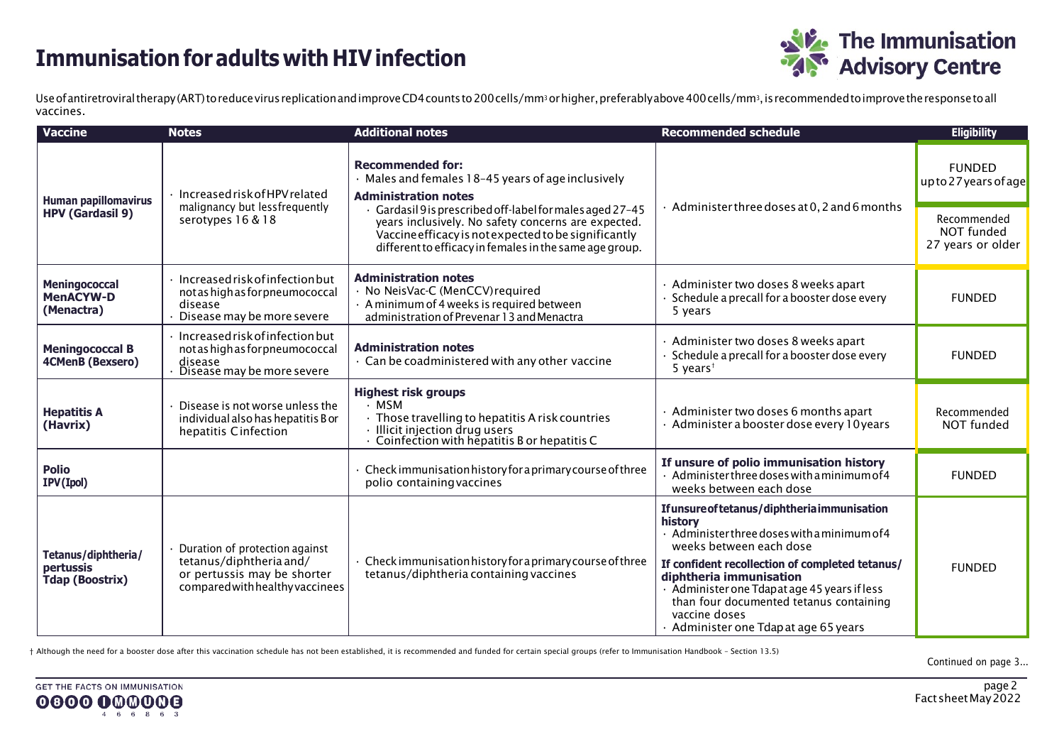## **Immunisation for adults with HIVinfection**



Use of antiretroviral therapy (ART) to reduce virus replication and improve CD4 counts to 200 cells/mm<sup>3</sup> or higher, preferably above 400 cells/mm<sup>3</sup>, is recommended to improve the response to all vaccines.

| <b>Vaccine</b>                                             | <b>Notes</b>                                                                                                                | <b>Additional notes</b>                                                                                                                                                                                                           | <b>Recommended schedule</b>                                                                                                                                                                                                                                                                                                                                                 | <b>Eligibility</b>                             |
|------------------------------------------------------------|-----------------------------------------------------------------------------------------------------------------------------|-----------------------------------------------------------------------------------------------------------------------------------------------------------------------------------------------------------------------------------|-----------------------------------------------------------------------------------------------------------------------------------------------------------------------------------------------------------------------------------------------------------------------------------------------------------------------------------------------------------------------------|------------------------------------------------|
| <b>Human papillomavirus</b><br><b>HPV (Gardasil 9)</b>     | Increased risk of HPV related<br>malignancy but lessfrequently<br>serotypes 16 & 18                                         | <b>Recommended for:</b><br>· Males and females 18-45 years of age inclusively<br><b>Administration notes</b>                                                                                                                      | Administer three doses at 0, 2 and 6 months                                                                                                                                                                                                                                                                                                                                 | <b>FUNDED</b><br>upto 27 years of age          |
|                                                            |                                                                                                                             | Gardasil 9 is prescribed off-label for males aged 27-45<br>years inclusively. No safety concerns are expected.<br>Vaccine efficacy is not expected to be significantly<br>different to efficacy in females in the same age group. |                                                                                                                                                                                                                                                                                                                                                                             | Recommended<br>NOT funded<br>27 years or older |
| Meningococcal<br><b>MenACYW-D</b><br>(Menactra)            | Increased risk of infection but<br>not as high as for pneumococcal<br>disease<br>Disease may be more severe                 | <b>Administration notes</b><br>· No NeisVac-C (MenCCV) required<br>· A minimum of 4 weeks is required between<br>administration of Prevenar 13 and Menactra                                                                       | · Administer two doses 8 weeks apart<br>Schedule a precall for a booster dose every<br>5 years                                                                                                                                                                                                                                                                              | <b>FUNDED</b>                                  |
| <b>Meningococcal B</b><br><b>4CMenB (Bexsero)</b>          | Increased risk of infection but<br>not as high as for pneumococcal<br>disease<br>Disease may be more severe                 | <b>Administration notes</b><br>· Can be coadministered with any other vaccine                                                                                                                                                     | · Administer two doses 8 weeks apart<br>Schedule a precall for a booster dose every<br>5 years <sup>t</sup>                                                                                                                                                                                                                                                                 | <b>FUNDED</b>                                  |
| <b>Hepatitis A</b><br>(Havrix)                             | Disease is not worse unless the<br>individual also has hepatitis B or<br>hepatitis Cinfection                               | <b>Highest risk groups</b><br>· MSM<br>$\cdot$ Those travelling to hepatitis A risk countries<br>· Illicit injection drug users<br>· Coinfection with hepatitis B or hepatitis C                                                  | · Administer two doses 6 months apart<br>· Administer a booster dose every 10 years                                                                                                                                                                                                                                                                                         | Recommended<br>NOT funded                      |
| <b>Polio</b><br>IPV(Ipol)                                  |                                                                                                                             | Check immunisation history for a primary course of three<br>polio containing vaccines                                                                                                                                             | If unsure of polio immunisation history<br>Administer three doses with a minimum of 4<br>weeks between each dose                                                                                                                                                                                                                                                            | <b>FUNDED</b>                                  |
| Tetanus/diphtheria/<br>pertussis<br><b>Tdap (Boostrix)</b> | Duration of protection against<br>tetanus/diphtheria and/<br>or pertussis may be shorter<br>compared with healthy vaccinees | Check immunisation history for a primary course of three<br>tetanus/diphtheria containing vaccines                                                                                                                                | If unsure of tetanus/diphtheria immunisation<br>history<br>$\cdot$ Administer three doses with a minimum of 4<br>weeks between each dose<br>If confident recollection of completed tetanus/<br>diphtheria immunisation<br>· Administer one Tdapat age 45 years if less<br>than four documented tetanus containing<br>vaccine doses<br>· Administer one Tdap at age 65 years | <b>FUNDED</b>                                  |

† Although the need for a booster dose after this vaccination schedule has not been established, it is recommended and funded for certain special groups (refer to Immunisation Handbook – Section 13.5)

Continued on page 3...